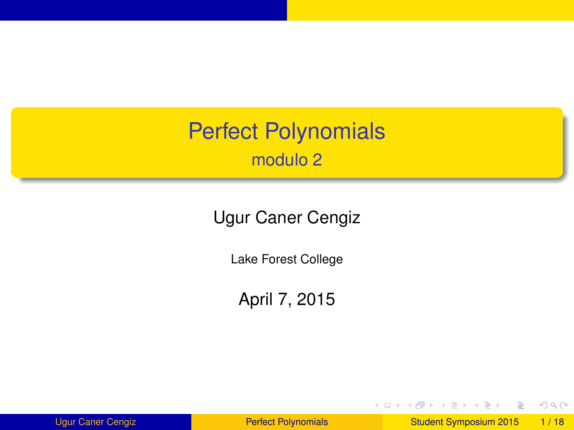<span id="page-0-0"></span>Perfect Polynomials modulo 2

Ugur Caner Cengiz

Lake Forest College

April 7, 2015

Ugur Caner Cengiz **[Perfect Polynomials](#page-48-0)** Culture Student Symposium 2015 1/18

E

 $299$ 

イロト イ部 トイ君 トイ君 ト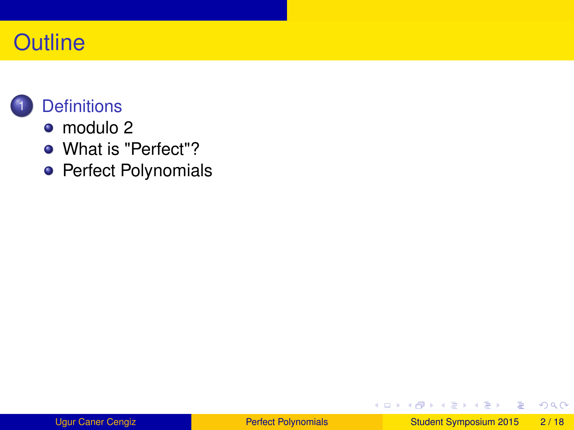## **Outline**



- [modulo 2](#page-4-0)
- [What is "Perfect"?](#page-7-0)
- **•** [Perfect Polynomials](#page-20-0)

 $\Rightarrow$ 

 $299$ 

**K ロメ K 御 メ K 君 メ K 君 X**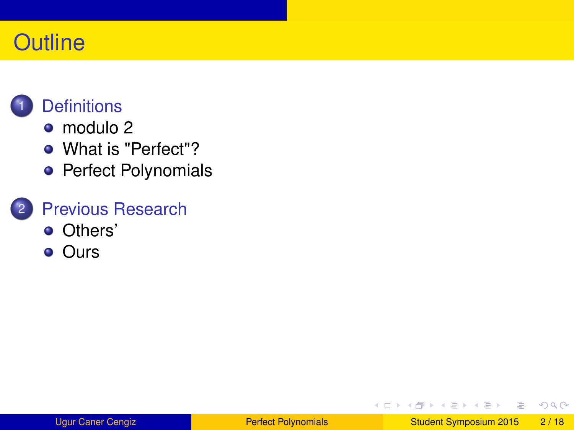## **Outline**

## **[Definitions](#page-4-0)**

- [modulo 2](#page-4-0)
- [What is "Perfect"?](#page-7-0)
- **•** [Perfect Polynomials](#page-20-0)

### **[Previous Research](#page-30-0)**

- **•** [Others'](#page-30-0)
- **o** [Ours](#page-36-0)

E

 $299$ 

**K ロメ K 御 メ K 君 メ K 君 X**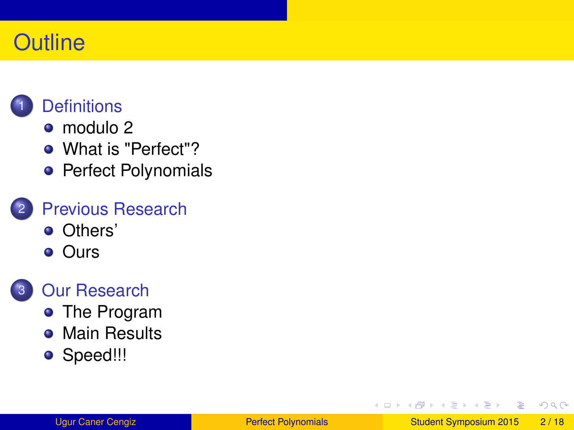## **Outline**

## **[Definitions](#page-4-0)**

- [modulo 2](#page-4-0)
- [What is "Perfect"?](#page-7-0)
- [Perfect Polynomials](#page-20-0)

### **[Previous Research](#page-30-0)**

- **•** [Others'](#page-30-0)
- **o** [Ours](#page-36-0)

### **[Our Research](#page-42-0)**

- **•** [The Program](#page-42-0)
- **[Main Results](#page-43-0)**
- [Speed!!!](#page-44-0)

E

 $\Omega$ 

 $\mathcal{A}$   $\overline{\mathcal{B}}$   $\rightarrow$   $\mathcal{A}$   $\overline{\mathcal{B}}$   $\rightarrow$   $\mathcal{A}$   $\overline{\mathcal{B}}$   $\rightarrow$ 

4 0 8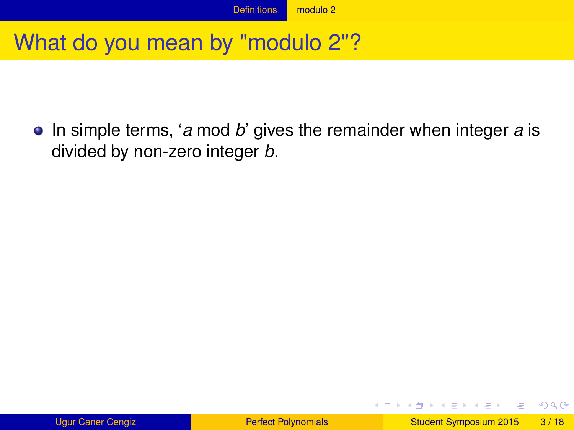## <span id="page-4-0"></span>What do you mean by "modulo 2"?

• In simple terms, '*a* mod *b*' gives the remainder when integer *a* is divided by non-zero integer *b*.

 $\Omega$ 

 $(0,1)$   $(0,1)$   $(0,1)$   $(1,1)$   $(1,1)$   $(1,1)$   $(1,1)$   $(1,1)$   $(1,1)$   $(1,1)$   $(1,1)$   $(1,1)$   $(1,1)$   $(1,1)$   $(1,1)$   $(1,1)$   $(1,1)$   $(1,1)$   $(1,1)$   $(1,1)$   $(1,1)$   $(1,1)$   $(1,1)$   $(1,1)$   $(1,1)$   $(1,1)$   $(1,1)$   $(1,1$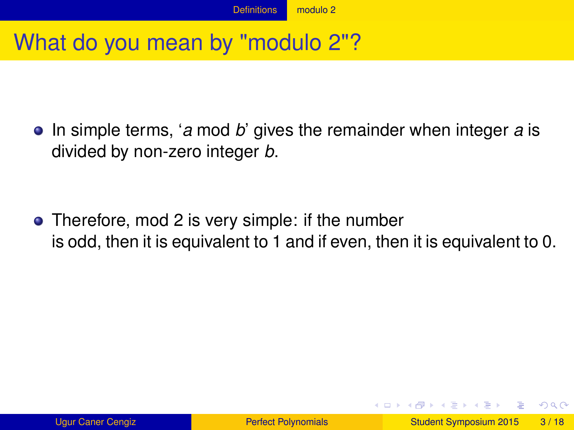## <span id="page-5-0"></span>What do you mean by "modulo 2"?

• In simple terms, '*a* mod *b*' gives the remainder when integer *a* is divided by non-zero integer *b*.

• Therefore, mod 2 is very simple: if the number is odd, then it is equivalent to 1 and if even, then it is equivalent to 0.

 $\Omega$ 

イロト イ押ト イヨト イヨト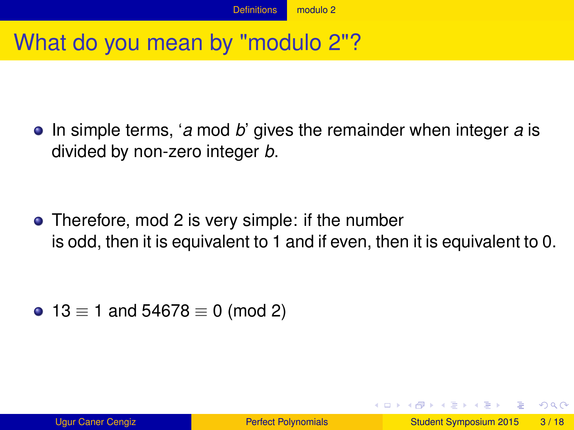## <span id="page-6-0"></span>What do you mean by "modulo 2"?

• In simple terms, '*a* mod *b*' gives the remainder when integer *a* is divided by non-zero integer *b*.

• Therefore, mod 2 is very simple: if the number is odd, then it is equivalent to 1 and if even, then it is equivalent to 0.

• 13  $\equiv$  1 and 54678  $\equiv$  0 (mod 2)

 $\Omega$ 

イロト イ押ト イヨト イヨト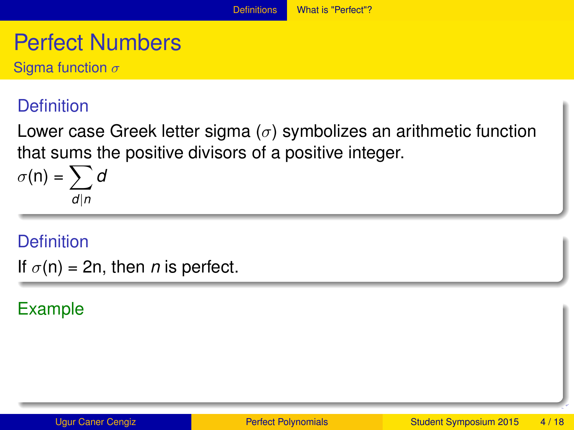## <span id="page-7-0"></span>Perfect Numbers

Sigma function  $\sigma$ 

#### **Definition**

Lower case Greek letter sigma ( $\sigma$ ) symbolizes an arithmetic function that sums the positive divisors of a positive integer.

$$
\sigma(n) = \sum_{d|n} d
$$

#### **Definition**

If  $\sigma(n) = 2n$ , then *n* is perfect.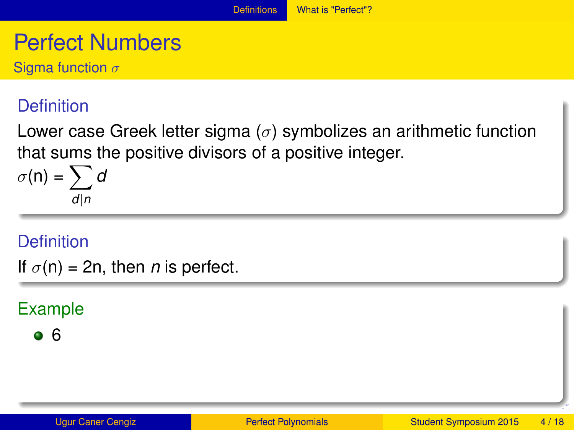## <span id="page-8-0"></span>Perfect Numbers

Sigma function  $\sigma$ 

#### **Definition**

Lower case Greek letter sigma ( $\sigma$ ) symbolizes an arithmetic function that sums the positive divisors of a positive integer.

$$
\sigma(n) = \sum_{d|n} d
$$

#### **Definition**

If  $\sigma(n) = 2n$ , then *n* is perfect.

#### Example

 $66$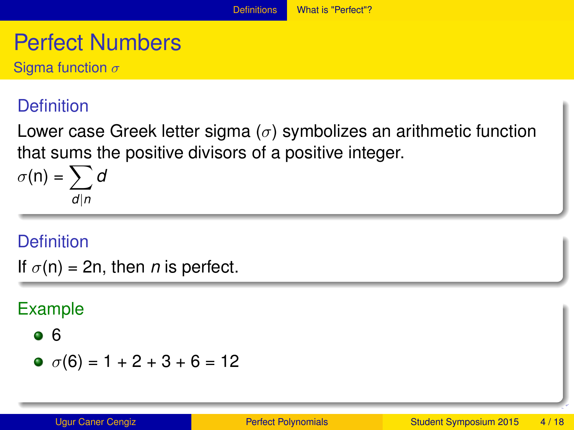## <span id="page-9-0"></span>Perfect Numbers

Sigma function  $\sigma$ 

#### **Definition**

Lower case Greek letter sigma ( $\sigma$ ) symbolizes an arithmetic function that sums the positive divisors of a positive integer.

$$
\sigma(n) = \sum_{d|n} d
$$

#### **Definition**

If  $\sigma(n) = 2n$ , then *n* is perfect.

$$
\bullet \ 6
$$

$$
\bullet \ \sigma(6) = 1 + 2 + 3 + 6 = 12
$$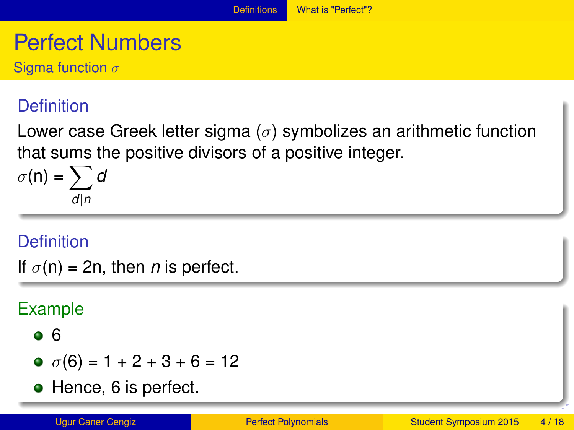## <span id="page-10-0"></span>Perfect Numbers

Sigma function  $\sigma$ 

#### **Definition**

Lower case Greek letter sigma ( $\sigma$ ) symbolizes an arithmetic function that sums the positive divisors of a positive integer.

$$
\sigma(n) = \sum_{d|n} d
$$

#### **Definition**

If  $\sigma(n) = 2n$ , then *n* is perfect.

#### Example

#### $66$

- $\sigma$   $\sigma$ (6) = 1 + 2 + 3 + 6 = 12
- Hence, 6 is perfect.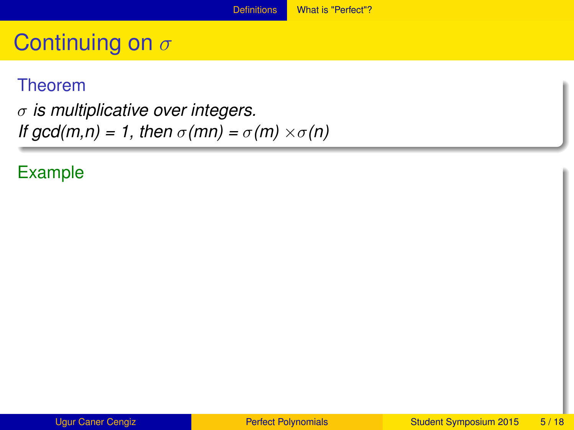#### <span id="page-11-0"></span>Theorem

σ *is multiplicative over integers. If gcd(m,n)* = 1, then  $\sigma$ (mn) =  $\sigma$ (m)  $\times \sigma$ (n)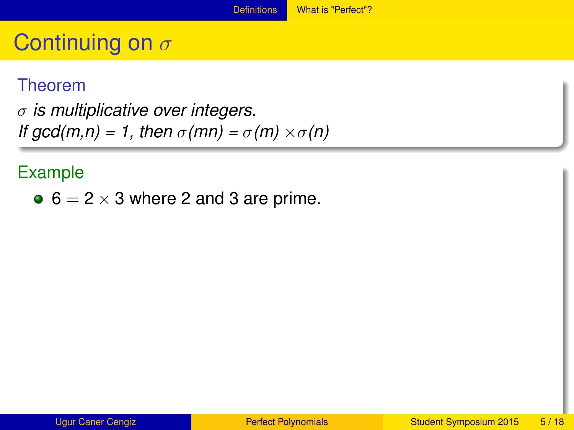#### <span id="page-12-0"></span>Theorem

σ *is multiplicative over integers. If gcd(m,n) = 1, then*  $\sigma$ (*mn) =*  $\sigma$ *(m)*  $\times$  $\sigma$ (*n)* 

#### Example

 $\bullet$  6 = 2  $\times$  3 where 2 and 3 are prime.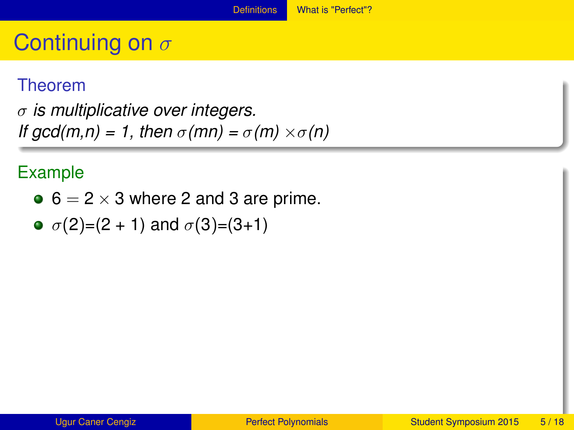#### <span id="page-13-0"></span>Theorem

σ *is multiplicative over integers. If gcd(m,n) = 1, then*  $\sigma$ (*mn) =*  $\sigma$ *(m)*  $\times$  $\sigma$ (*n)* 

- $\bullet$  6 = 2  $\times$  3 where 2 and 3 are prime.
- $\bullet$   $\sigma(2)=(2 + 1)$  and  $\sigma(3)=(3+1)$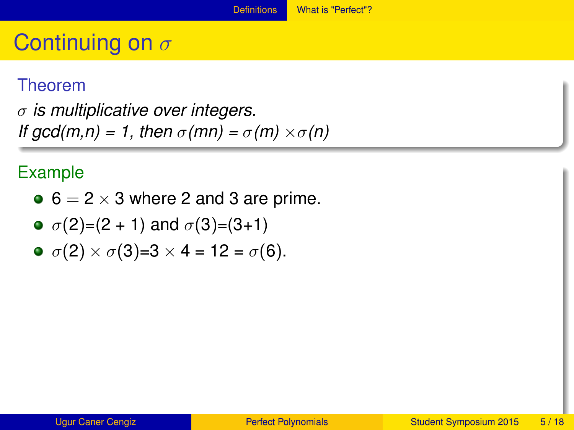## <span id="page-14-0"></span>Continuing on  $\sigma$

#### Theorem

σ *is multiplicative over integers. If gcd(m,n) = 1, then*  $\sigma$ (*mn) =*  $\sigma$ *(m)*  $\times$  $\sigma$ (*n)* 

#### Example

 $\bullet$  6 = 2  $\times$  3 where 2 and 3 are prime.

• 
$$
\sigma(2)=(2 + 1)
$$
 and  $\sigma(3)=(3+1)$ 

$$
\bullet \ \sigma(2) \times \sigma(3)=3 \times 4 = 12 = \sigma(6).
$$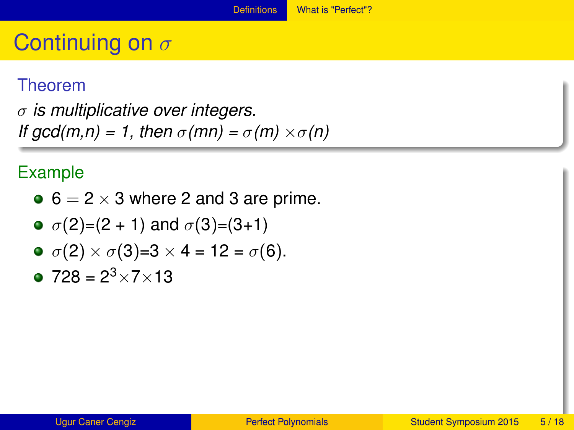## <span id="page-15-0"></span>Continuing on  $\sigma$

#### Theorem

σ *is multiplicative over integers. If gcd(m,n) = 1, then*  $\sigma$ (*mn) =*  $\sigma$ *(m)*  $\times$  $\sigma$ (*n)* 

#### Example

 $\bullet$  6 = 2  $\times$  3 where 2 and 3 are prime.

• 
$$
\sigma(2)=(2 + 1)
$$
 and  $\sigma(3)=(3+1)$ 

$$
\bullet \ \sigma(2) \times \sigma(3)=3 \times 4 = 12 = \sigma(6).
$$

 $\bullet$  728 = 2<sup>3</sup> × 7 × 13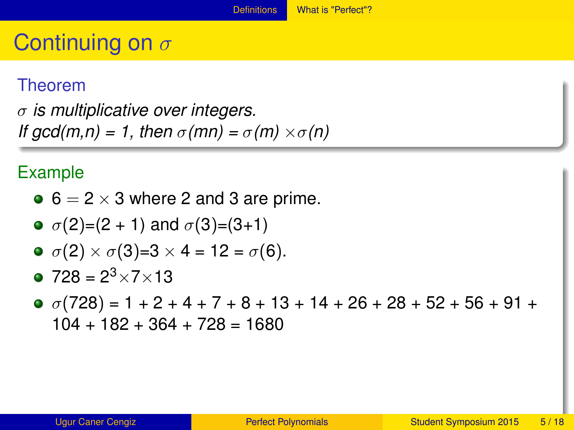## <span id="page-16-0"></span>Continuing on  $\sigma$

#### Theorem

σ *is multiplicative over integers. If gcd(m,n) = 1, then*  $\sigma$ (*mn) =*  $\sigma$ *(m)*  $\times$  $\sigma$ (*n)* 

- $\bullet$  6 = 2  $\times$  3 where 2 and 3 are prime.
- $\bullet$   $\sigma(2)=(2 + 1)$  and  $\sigma(3)=(3+1)$

$$
\bullet \ \sigma(2) \times \sigma(3)=3 \times 4 = 12 = \sigma(6).
$$

- $\bullet$  728 = 2<sup>3</sup> × 7 × 13
- $\sigma$   $\sigma$ (728) = 1 + 2 + 4 + 7 + 8 + 13 + 14 + 26 + 28 + 52 + 56 + 91 +  $104 + 182 + 364 + 728 = 1680$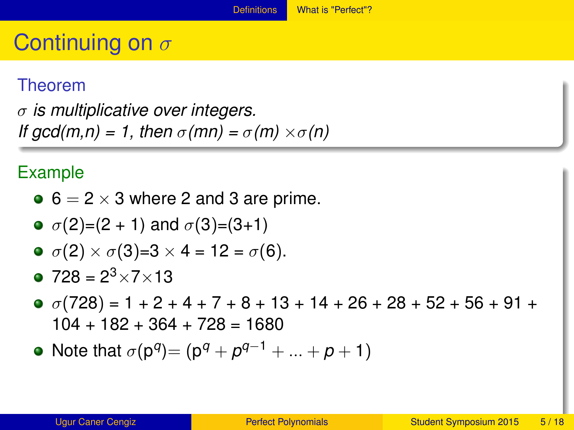#### <span id="page-17-0"></span>Theorem

σ *is multiplicative over integers. If gcd(m,n) = 1, then*  $\sigma$ (*mn) =*  $\sigma$ *(m)*  $\times$  $\sigma$ (*n)* 

- $\bullet$  6 = 2  $\times$  3 where 2 and 3 are prime.
- $\bullet$   $\sigma(2)=(2 + 1)$  and  $\sigma(3)=(3+1)$

$$
\bullet \ \sigma(2) \times \sigma(3)=3 \times 4 = 12 = \sigma(6).
$$

- $\bullet$  728 = 2<sup>3</sup> × 7 × 13
- $\sigma$   $\sigma$ (728) = 1 + 2 + 4 + 7 + 8 + 13 + 14 + 26 + 28 + 52 + 56 + 91 +  $104 + 182 + 364 + 728 = 1680$
- Note that  $\sigma(p^q) = (p^q + p^{q-1} + ... + p + 1)$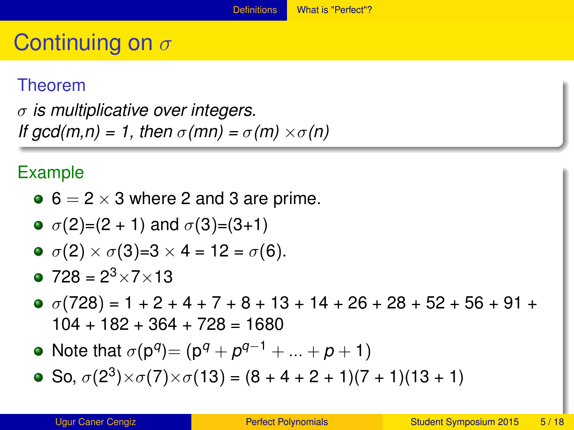#### <span id="page-18-0"></span>Theorem

σ *is multiplicative over integers. If gcd(m,n) = 1, then*  $\sigma$ (*mn) =*  $\sigma$ *(m)*  $\times$  $\sigma$ (*n)* 

• 
$$
6 = 2 \times 3
$$
 where 2 and 3 are prime.

• 
$$
\sigma(2)=(2 + 1)
$$
 and  $\sigma(3)=(3+1)$ 

$$
\bullet \ \sigma(2) \times \sigma(3)=3 \times 4=12=\sigma(6).
$$

$$
• 728 = 2^3 \times 7 \times 13
$$

- $\sigma$   $\sigma$ (728) = 1 + 2 + 4 + 7 + 8 + 13 + 14 + 26 + 28 + 52 + 56 + 91 +  $104 + 182 + 364 + 728 = 1680$
- Note that  $\sigma(p^q) = (p^q + p^{q-1} + ... + p + 1)$
- So,  $\sigma(2^3) \times \sigma(7) \times \sigma(13) = (8 + 4 + 2 + 1)(7 + 1)(13 + 1)$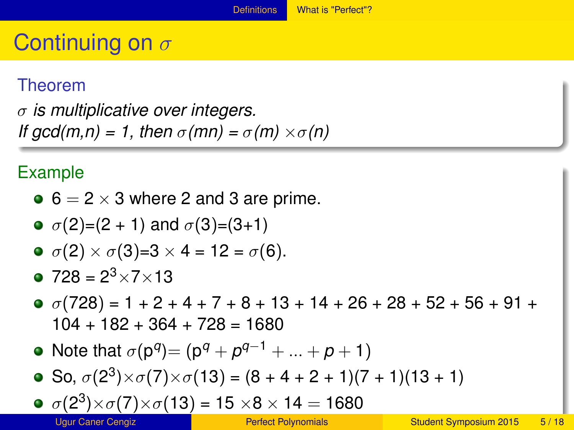#### <span id="page-19-0"></span>Theorem

σ *is multiplicative over integers. If gcd(m,n) = 1, then*  $\sigma$ (*mn) =*  $\sigma$ *(m)*  $\times$  $\sigma$ (*n)* 

• 
$$
6 = 2 \times 3
$$
 where 2 and 3 are prime.

• 
$$
\sigma(2)=(2 + 1)
$$
 and  $\sigma(3)=(3+1)$ 

$$
\bullet \ \sigma(2) \times \sigma(3)=3 \times 4=12=\sigma(6).
$$

$$
• 728 = 2^3 \times 7 \times 13
$$

- $\sigma$   $\sigma$ (728) = 1 + 2 + 4 + 7 + 8 + 13 + 14 + 26 + 28 + 52 + 56 + 91 +  $104 + 182 + 364 + 728 = 1680$
- Note that  $\sigma(p^q) = (p^q + p^{q-1} + ... + p + 1)$
- So,  $\sigma(2^3) \times \sigma(7) \times \sigma(13) = (8 + 4 + 2 + 1)(7 + 1)(13 + 1)$

$$
\sigma (2^3) \times \sigma (7) \times \sigma (13) = 15 \times 8 \times 14 = 1680
$$
  
Ugur Cancer Cengiz  
Perfect Polynomials  
Student Symposium 2015 5/18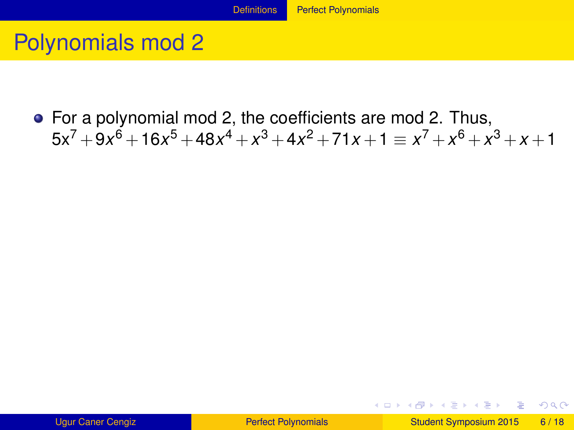#### [Definitions](#page-20-0) **[Perfect Polynomials](#page-20-0)**

## <span id="page-20-0"></span>Polynomials mod 2

For a polynomial mod 2, the coefficients are mod 2. Thus,  $5x^7 + 9x^6 + 16x^5 + 48x^4 + x^3 + 4x^2 + 71x + 1 \equiv x^7 + x^6 + x^3 + x + 1$ 

E

 $\Omega$ 

 $(0,1)$   $(0,1)$   $(0,1)$   $(1,1)$   $(1,1)$   $(1,1)$   $(1,1)$   $(1,1)$   $(1,1)$   $(1,1)$   $(1,1)$   $(1,1)$   $(1,1)$   $(1,1)$   $(1,1)$   $(1,1)$   $(1,1)$   $(1,1)$   $(1,1)$   $(1,1)$   $(1,1)$   $(1,1)$   $(1,1)$   $(1,1)$   $(1,1)$   $(1,1)$   $(1,1)$   $(1,1$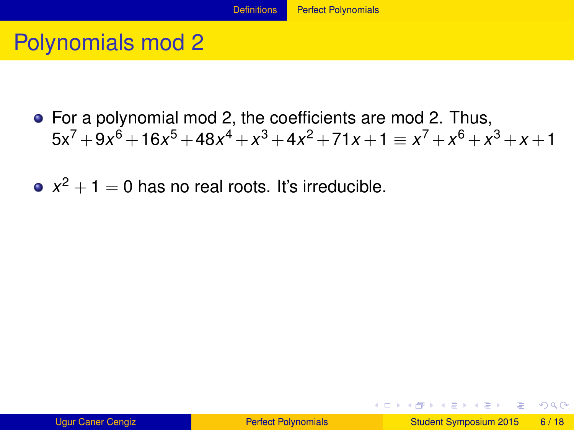## <span id="page-21-0"></span>Polynomials mod 2

- For a polynomial mod 2, the coefficients are mod 2. Thus,  $5x^7 + 9x^6 + 16x^5 + 48x^4 + x^3 + 4x^2 + 71x + 1 \equiv x^7 + x^6 + x^3 + x + 1$
- $x^2 + 1 = 0$  has no real roots. It's irreducible.

 $\Omega$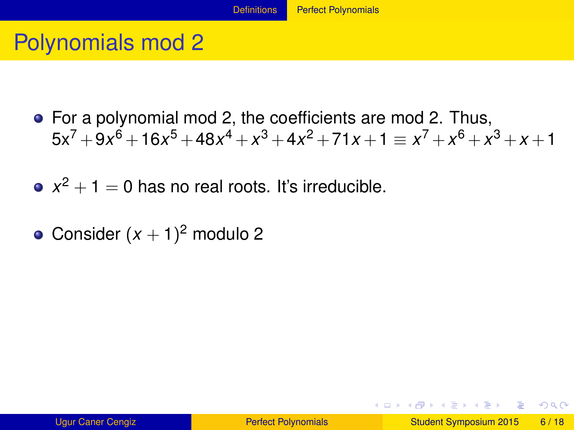#### [Definitions](#page-22-0) **[Perfect Polynomials](#page-22-0)**

## <span id="page-22-0"></span>Polynomials mod 2

- For a polynomial mod 2, the coefficients are mod 2. Thus,  $5x^7 + 9x^6 + 16x^5 + 48x^4 + x^3 + 4x^2 + 71x + 1 \equiv x^7 + x^6 + x^3 + x + 1$
- $x^2 + 1 = 0$  has no real roots. It's irreducible.
- Consider  $(x + 1)^2$  modulo 2

 $\Omega$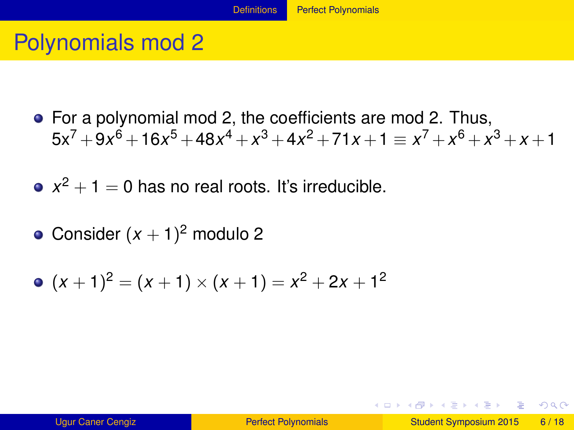## <span id="page-23-0"></span>Polynomials mod 2

For a polynomial mod 2, the coefficients are mod 2. Thus,  $5x^7 + 9x^6 + 16x^5 + 48x^4 + x^3 + 4x^2 + 71x + 1 \equiv x^7 + x^6 + x^3 + x + 1$ 

 $x^2 + 1 = 0$  has no real roots. It's irreducible.

Consider  $(x + 1)^2$  modulo 2

$$
(x + 1)2 = (x + 1) \times (x + 1) = x2 + 2x + 12
$$

 $\Omega$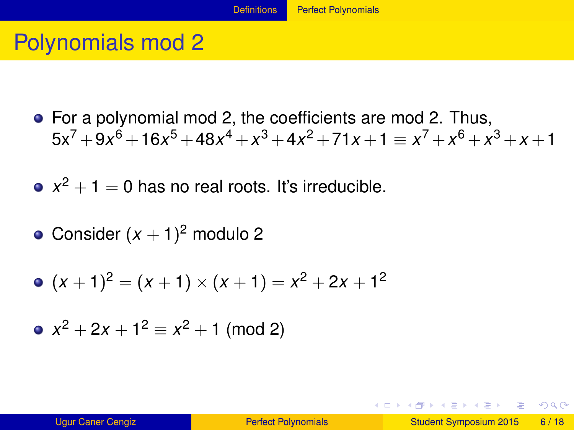## <span id="page-24-0"></span>Polynomials mod 2

For a polynomial mod 2, the coefficients are mod 2. Thus,  $5x^7 + 9x^6 + 16x^5 + 48x^4 + x^3 + 4x^2 + 71x + 1 \equiv x^7 + x^6 + x^3 + x + 1$ 

 $x^2 + 1 = 0$  has no real roots. It's irreducible.

Consider  $(x + 1)^2$  modulo 2

$$
(x + 1)2 = (x + 1) \times (x + 1) = x2 + 2x + 12
$$

• 
$$
x^2 + 2x + 1^2 \equiv x^2 + 1 \pmod{2}
$$

 $\Omega$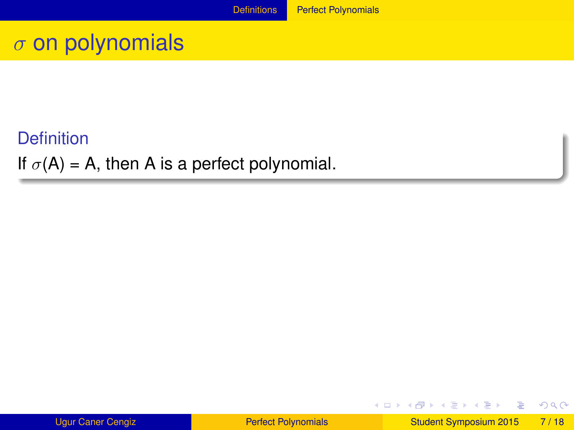#### <span id="page-25-0"></span>**Definition**

If  $\sigma(A) = A$ , then A is a perfect polynomial.

| <b>Ugur Caner Cengiz</b> |  |
|--------------------------|--|
|                          |  |

E

 $299$ 

メロトメ 御 トメ ヨ トメ ヨト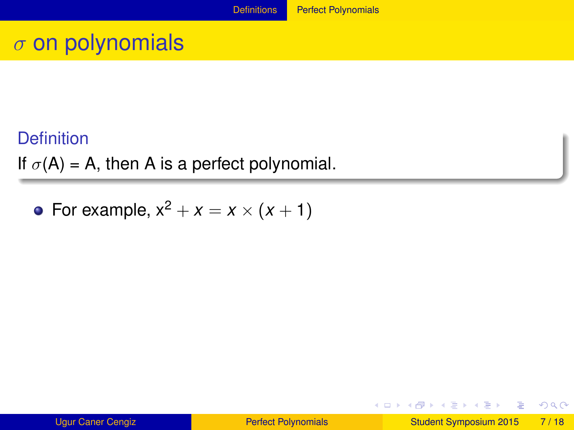#### <span id="page-26-0"></span>**Definition**

If  $\sigma(A) = A$ , then A is a perfect polynomial.

• For example,  $x^2 + x = x \times (x + 1)$ 

E

 $\Omega$ 

 $(0,1)$   $(0,1)$   $(0,1)$   $(1,1)$   $(1,1)$   $(1,1)$   $(1,1)$   $(1,1)$   $(1,1)$   $(1,1)$   $(1,1)$   $(1,1)$   $(1,1)$   $(1,1)$   $(1,1)$   $(1,1)$   $(1,1)$   $(1,1)$   $(1,1)$   $(1,1)$   $(1,1)$   $(1,1)$   $(1,1)$   $(1,1)$   $(1,1)$   $(1,1)$   $(1,1)$   $(1,1$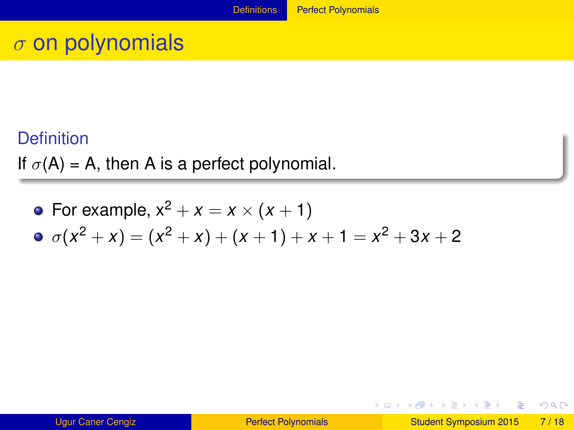#### <span id="page-27-0"></span>**Definition**

If  $\sigma(A) = A$ , then A is a perfect polynomial.

• For example, 
$$
x^2 + x = x \times (x + 1)
$$

$$
\bullet \ \sigma(x^2 + x) = (x^2 + x) + (x + 1) + x + 1 = x^2 + 3x + 2
$$

E

 $299$ 

メロトメ 御 トメ ヨ トメ ヨト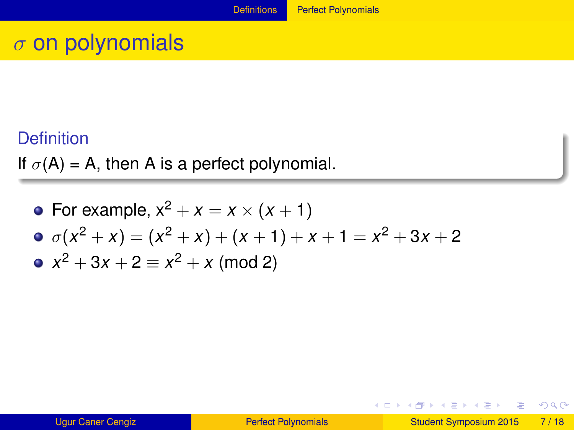#### <span id="page-28-0"></span>**Definition**

If  $\sigma(A) = A$ , then A is a perfect polynomial.

• For example, 
$$
x^2 + x = x \times (x + 1)
$$
  
\n•  $\sigma(x^2 + x) = (x^2 + x) + (x + 1) + x + 1 = x^2 + 3x + 2$   
\n•  $x^2 + 3x + 2 = x^2 + x \pmod{2}$ 

E

 $298$ 

イロト イ部 トイ君 トイ君 ト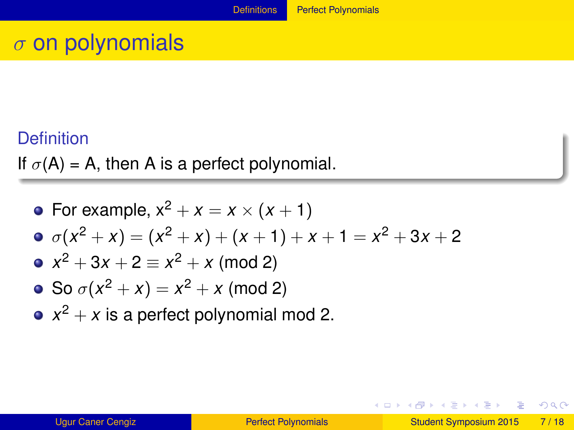#### <span id="page-29-0"></span>**Definition**

If  $\sigma(A) = A$ , then A is a perfect polynomial.

• For example, 
$$
x^2 + x = x \times (x + 1)
$$
  
\n•  $\sigma(x^2 + x) = (x^2 + x) + (x + 1) + x + 1 = x^2 + 3x + 2$   
\n•  $x^2 + 3x + 2 \equiv x^2 + x \pmod{2}$   
\n• So  $\sigma(x^2 + x) = x^2 + x \pmod{2}$ 

 $x^2 + x$  is a perfect polynomial mod 2.

E

 $\Omega$ 

 $(0,1)$   $(0,1)$   $(0,1)$   $(1,1)$   $(1,1)$   $(1,1)$   $(1,1)$   $(1,1)$   $(1,1)$   $(1,1)$   $(1,1)$   $(1,1)$   $(1,1)$   $(1,1)$   $(1,1)$   $(1,1)$   $(1,1)$   $(1,1)$   $(1,1)$   $(1,1)$   $(1,1)$   $(1,1)$   $(1,1)$   $(1,1)$   $(1,1)$   $(1,1)$   $(1,1)$   $(1,1$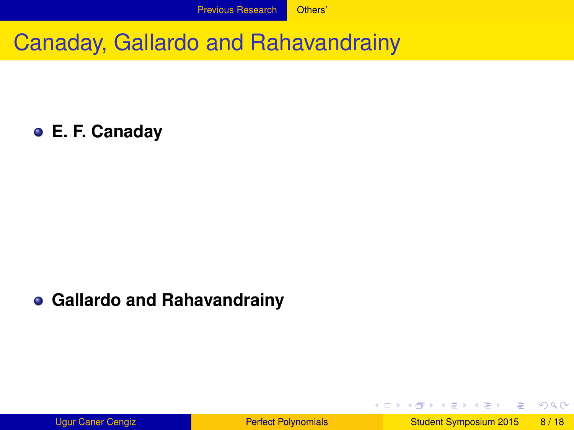<span id="page-30-0"></span>**E. F. Canaday**

#### **Gallardo and Rahavandrainy**

E

 $\Omega$ 

 $(0,1)$   $(0,1)$   $(0,1)$   $(1,1)$   $(1,1)$   $(1,1)$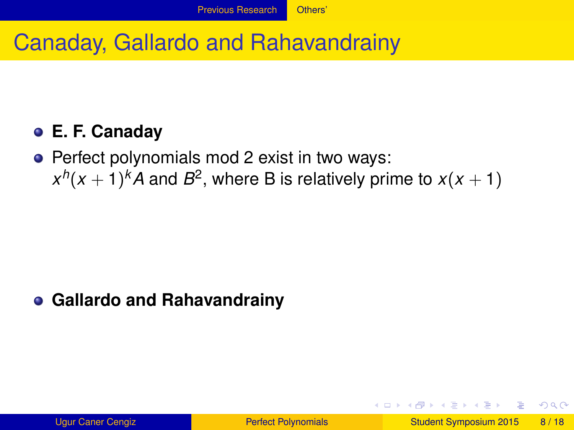### <span id="page-31-0"></span>**E. F. Canaday**

• Perfect polynomials mod 2 exist in two ways:  $x^h(x+1)^k$ A and  $B^2$ , where B is relatively prime to  $x(x+1)$ 

### **Gallardo and Rahavandrainy**

 $\Omega$ 

イロト イ押ト イヨト イヨト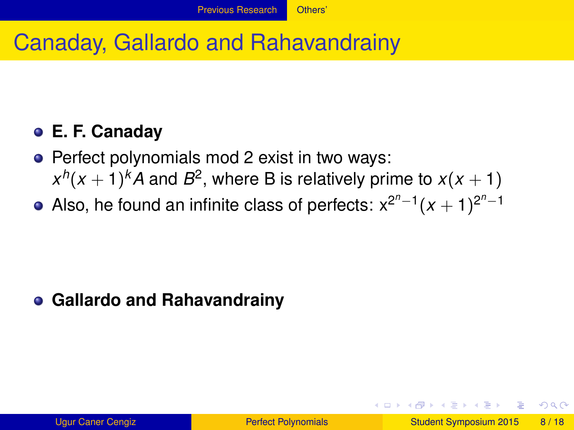## <span id="page-32-0"></span>**E. F. Canaday**

- Perfect polynomials mod 2 exist in two ways:  $x^h(x+1)^k$ A and  $B^2$ , where B is relatively prime to  $x(x+1)$
- Also, he found an infinite class of perfects:  $x^{2^n-1}(x + 1)^{2^n-1}$

### **Gallardo and Rahavandrainy**

 $\Omega$ 

イロト イ押 トイラト イラト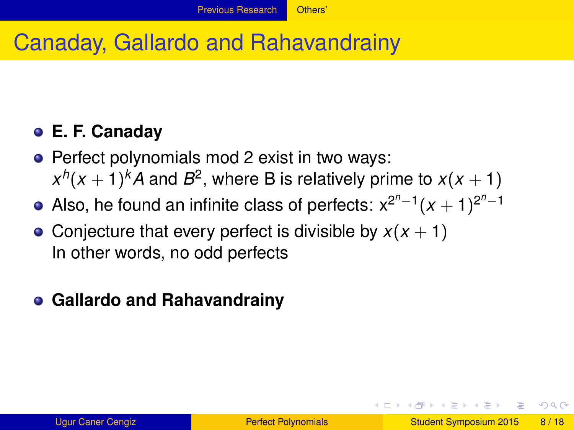## <span id="page-33-0"></span>**E. F. Canaday**

- Perfect polynomials mod 2 exist in two ways:  $x^h(x+1)^k$ A and  $B^2$ , where B is relatively prime to  $x(x+1)$
- Also, he found an infinite class of perfects:  $x^{2^n-1}(x + 1)^{2^n-1}$
- Conjecture that every perfect is divisible by  $x(x + 1)$ In other words, no odd perfects

### **Gallardo and Rahavandrainy**

 $\Omega$ 

イロト イ押 トイラト イラト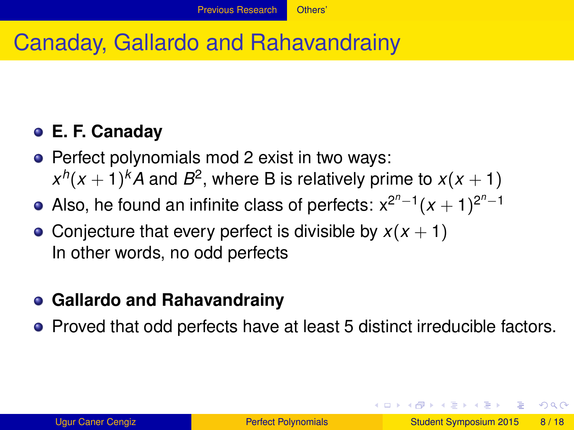## <span id="page-34-0"></span>**E. F. Canaday**

- Perfect polynomials mod 2 exist in two ways:  $x^h(x+1)^k$ A and  $B^2$ , where B is relatively prime to  $x(x+1)$
- Also, he found an infinite class of perfects:  $x^{2^n-1}(x + 1)^{2^n-1}$
- Conjecture that every perfect is divisible by  $x(x + 1)$ In other words, no odd perfects

#### **Gallardo and Rahavandrainy**

• Proved that odd perfects have at least 5 distinct irreducible factors.

 $\Omega$ 

イロト イ押 トイラト イラト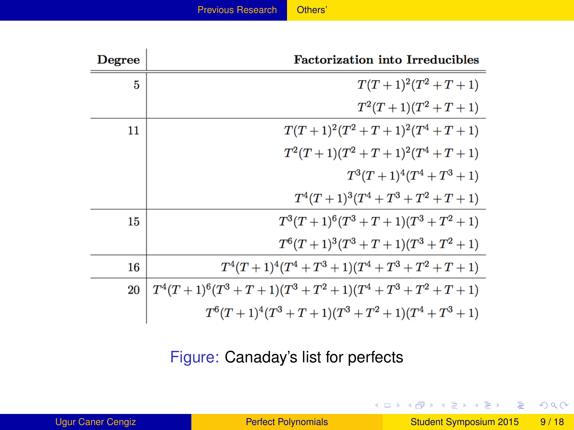| Others' |  |  |  |
|---------|--|--|--|
|         |  |  |  |

<span id="page-35-0"></span>

| <b>Degree</b> | <b>Factorization into Irreducibles</b>                    |
|---------------|-----------------------------------------------------------|
| 5             | $T(T+1)^2(T^2+T+1)$                                       |
|               | $T^2(T+1)(T^2+T+1)$                                       |
| 11            | $T(T+1)^2(T^2+T+1)^2(T^4+T+1)$                            |
|               | $T^2(T+1)(T^2+T+1)^2(T^4+T+1)$                            |
|               | $T^3(T+1)^4(T^4+T^3+1)$                                   |
|               | $T^4(T+1)^3(T^4+T^3+T^2+T+1)$                             |
| 15            | $T^3(T+1)^6(T^3+T+1)(T^3+T^2+1)$                          |
|               | $T^{6}(T+1)^{3}(T^{3}+T+1)(T^{3}+T^{2}+1)$                |
| 16            | $T^4(T+1)^4(T^4+T^3+1)(T^4+T^3+T^2+T+1)$                  |
| 20            | $T^4(T+1)^6(T^3+T+1)(T^3+T^2+1)(T^4+T^3+T^2+T+1)$         |
|               | $T^{6}(T+1)^{4}(T^{3}+T+1)(T^{3}+T^{2}+1)(T^{4}+T^{3}+1)$ |

Figure: Canaday's list for perfects

- 로

 $299$ 

イロト イ部 トイヨ トイヨト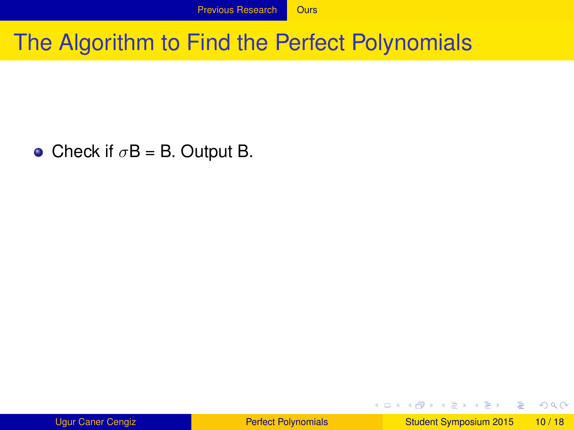<span id="page-36-0"></span>• Check if  $\sigma$ B = B. Output B.

Ugur Caner Cengiz **[Perfect Polynomials](#page-0-0) Perfect Polynomials** Student Symposium 2015 10 / 18

в

 $299$ 

 $(0,1)$   $(0,1)$   $(0,1)$   $(1,1)$   $(1,1)$   $(1,1)$   $(1,1)$   $(1,1)$   $(1,1)$   $(1,1)$   $(1,1)$   $(1,1)$   $(1,1)$   $(1,1)$   $(1,1)$   $(1,1)$   $(1,1)$   $(1,1)$   $(1,1)$   $(1,1)$   $(1,1)$   $(1,1)$   $(1,1)$   $(1,1)$   $(1,1)$   $(1,1)$   $(1,1)$   $(1,1$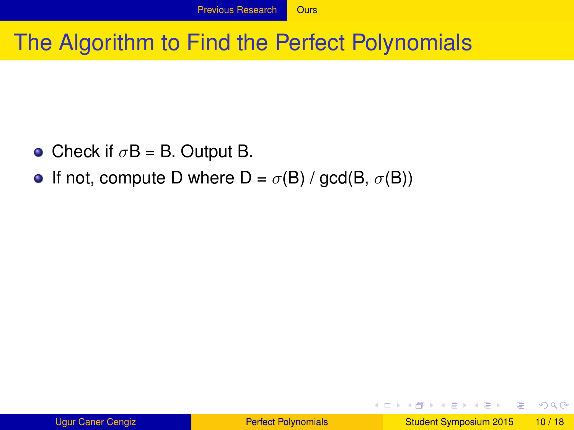- <span id="page-37-0"></span>• Check if  $\sigma$ B = B. Output B.
- If not, compute D where  $D = \sigma(B) / \text{gcd}(B, \sigma(B))$

в

 $\Omega$ 

 $(0,1)$   $(0,1)$   $(0,1)$   $(1,1)$   $(1,1)$   $(1,1)$   $(1,1)$   $(1,1)$   $(1,1)$   $(1,1)$   $(1,1)$   $(1,1)$   $(1,1)$   $(1,1)$   $(1,1)$   $(1,1)$   $(1,1)$   $(1,1)$   $(1,1)$   $(1,1)$   $(1,1)$   $(1,1)$   $(1,1)$   $(1,1)$   $(1,1)$   $(1,1)$   $(1,1)$   $(1,1$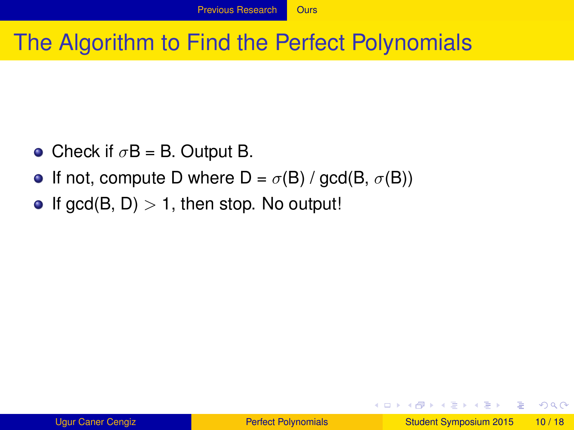- <span id="page-38-0"></span>• Check if  $\sigma$ B = B. Output B.
- If not, compute D where  $D = \sigma(B) / \text{gcd}(B, \sigma(B))$
- If gcd(B, D)  $> 1$ , then stop. No output!

 $\Omega$ 

4 ロ ト 4 何 ト 4 ラ ト 4 ラ ト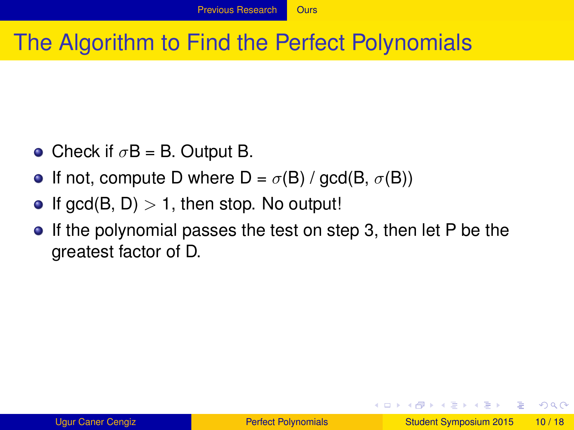- <span id="page-39-0"></span>• Check if  $\sigma$ B = B. Output B.
- **•** If not, compute D where  $D = \sigma(B) / \text{gcd}(B, \sigma(B))$
- If gcd(B, D)  $> 1$ , then stop. No output!
- **If the polynomial passes the test on step 3, then let P be the** greatest factor of D.

 $\Omega$ 

4 ロ ト 4 何 ト 4 ラ ト 4 ラ ト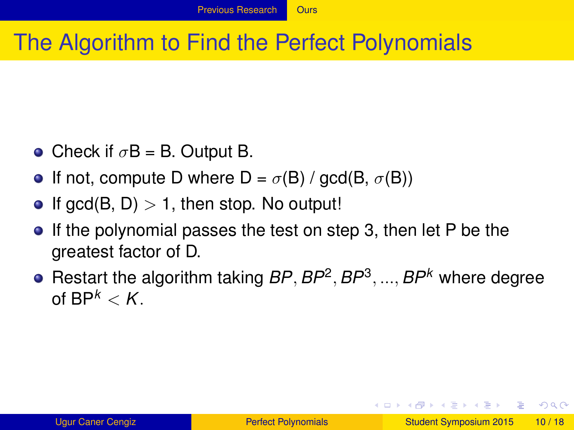- <span id="page-40-0"></span>• Check if  $\sigma$ B = B. Output B.
- **If not, compute D where D** =  $\sigma$ (B) / gcd(B,  $\sigma$ (B))
- If gcd(B, D)  $> 1$ , then stop. No output!
- **If the polynomial passes the test on step 3, then let P be the** greatest factor of D.
- Restart the algorithm taking *BP*, *BP*<sup>2</sup> , *BP*<sup>3</sup> , ..., *BP<sup>k</sup>* where degree of  $BP^k < K$ .

 $\Omega$ 

 $(0.125 \times 10^{-14} \text{ m}) \times 10^{-14} \text{ m}$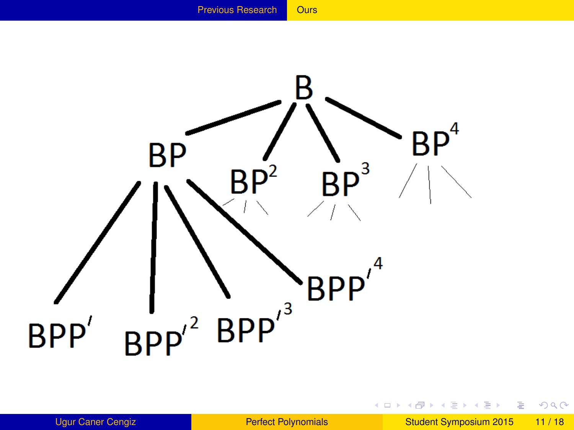

<span id="page-41-0"></span>

画

 $299$ 

(ロトイ部)→(差)→(差)→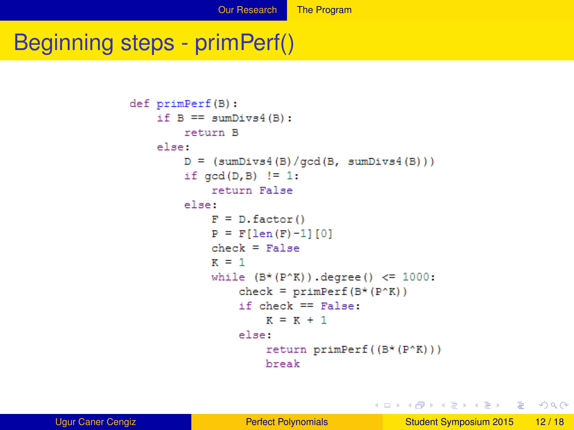## <span id="page-42-0"></span>Beginning steps - primPerf()

```
def primPerf(B):
   if B \equiv sumDivs4(B):
       return B
   else:
       D = (sumDivs4(B)/qcd(B, sumDivs4(B)))if gcd(D, B) != 1:
           return False
       else:
           F = D. factor()
           P = F[len(F)-1][0]check = FalseR = 1while (B*(P^*K)). degree() <= 1000:
                check = primPerf(B*(P^*K))if check == False:
                    K = K + 1else:
                    return primPerf ((B*(P(K))))
                    break
```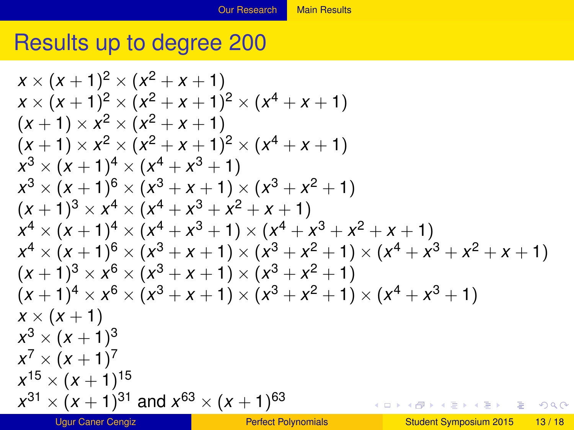## <span id="page-43-0"></span>Results up to degree 200

$$
x \times (x + 1)^{2} \times (x^{2} + x + 1)
$$
  
\n
$$
x \times (x + 1)^{2} \times (x^{2} + x + 1)^{2} \times (x^{4} + x + 1)
$$
  
\n
$$
(x + 1) \times x^{2} \times (x^{2} + x + 1)
$$
  
\n
$$
(x + 1) \times x^{2} \times (x^{2} + x + 1)^{2} \times (x^{4} + x + 1)
$$
  
\n
$$
x^{3} \times (x + 1)^{4} \times (x^{4} + x^{3} + 1)
$$
  
\n
$$
x^{3} \times (x + 1)^{6} \times (x^{3} + x + 1) \times (x^{3} + x^{2} + 1)
$$
  
\n
$$
(x + 1)^{3} \times x^{4} \times (x^{4} + x^{3} + x^{2} + x + 1)
$$
  
\n
$$
x^{4} \times (x + 1)^{4} \times (x^{4} + x^{3} + 1) \times (x^{4} + x^{3} + x^{2} + x + 1)
$$
  
\n
$$
x^{4} \times (x + 1)^{6} \times (x^{3} + x + 1) \times (x^{3} + x^{2} + 1) \times (x^{4} + x^{3} + x^{2} + x + 1)
$$
  
\n
$$
(x + 1)^{3} \times x^{6} \times (x^{3} + x + 1) \times (x^{3} + x^{2} + 1)
$$
  
\n
$$
(x + 1)^{4} \times x^{6} \times (x^{3} + x + 1) \times (x^{3} + x^{2} + 1) \times (x^{4} + x^{3} + 1)
$$
  
\n
$$
x \times (x + 1)
$$
  
\n
$$
x^{3} \times (x + 1)^{3}
$$
  
\n
$$
x^{7} \times (x + 1)^{7}
$$
  
\n
$$
x^{15} \times (x + 1)^{15}
$$
  
\n
$$
x^{31} \times (x + 1)^{31}
$$
 and 
$$
x^{63} \times (x + 1)^{63}
$$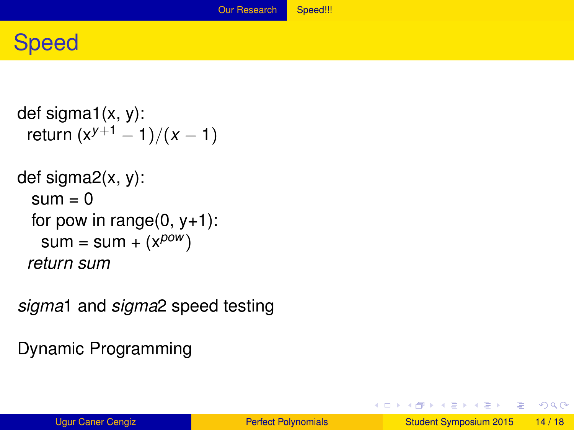## <span id="page-44-0"></span>Speed

```
def sigma1(x, y):
return (x^{y+1} - 1)/(x - 1)def sigma2(x, y):
 sum = 0for pow in range(0, y+1):
  sum = sum + (x^{pow})return sum
```
*sigma*1 and *sigma*2 speed testing

Dynamic Programming

 $\Omega$ 

メロメメ 御き メミメメ 急ず 一番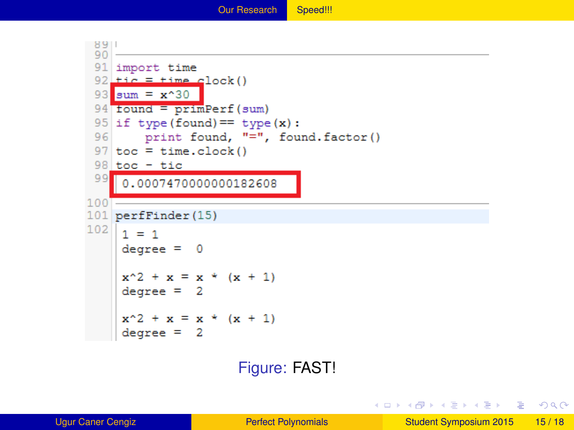<span id="page-45-0"></span>

#### Figure: FAST!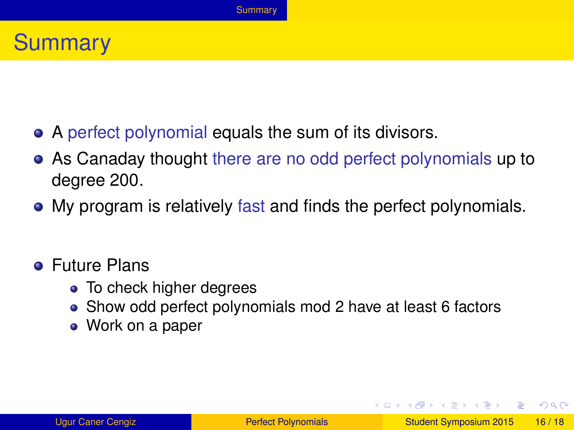## <span id="page-46-0"></span>**Summary**

- A perfect polynomial equals the sum of its divisors.
- As Canaday thought there are no odd perfect polynomials up to degree 200.
- My program is relatively fast and finds the perfect polynomials.

#### Future Plans

- To check higher degrees
- Show odd perfect polynomials mod 2 have at least 6 factors
- Work on a paper

 $\Omega$ 

 $(0,1)$   $(0,1)$   $(0,1)$   $(1,1)$   $(1,1)$   $(1,1)$   $(1,1)$   $(1,1)$   $(1,1)$   $(1,1)$   $(1,1)$   $(1,1)$   $(1,1)$   $(1,1)$   $(1,1)$   $(1,1)$   $(1,1)$   $(1,1)$   $(1,1)$   $(1,1)$   $(1,1)$   $(1,1)$   $(1,1)$   $(1,1)$   $(1,1)$   $(1,1)$   $(1,1)$   $(1,1$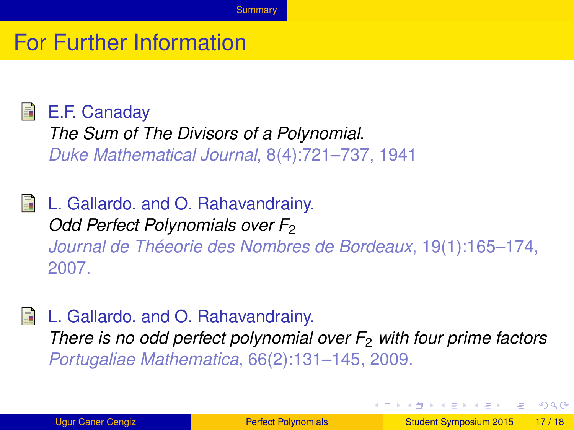## <span id="page-47-0"></span>For Further Information

#### E.F. Canaday

*The Sum of The Divisors of a Polynomial*. *Duke Mathematical Journal*, 8(4):721–737, 1941

## **L.** Gallardo. and O. Rahavandrainy.

*Odd Perfect Polynomials over F*<sup>2</sup> *Journal de Théeorie des Nombres de Bordeaux*, 19(1):165–174, 2007.

#### L. Gallardo. and O. Rahavandrainy.

*There is no odd perfect polynomial over F*<sup>2</sup> *with four prime factors Portugaliae Mathematica*, 66(2):131–145, 2009.

 $\Omega$ 

4 ロ ト 4 何 ト 4 ラ ト 4 ラ ト